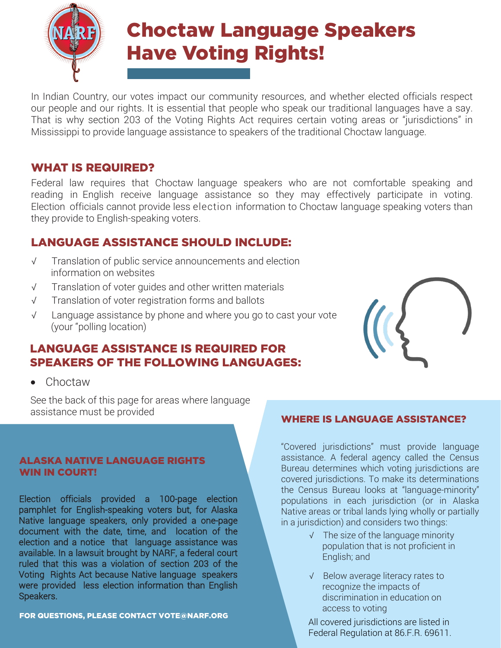

In Indian Country, our votes impact our community resources, and whether elected officials respect our people and our rights. It is essential that people who speak our traditional languages have a say. That is why section 203 of the Voting Rights Act requires certain voting areas or "jurisdictions" in Mississippi to provide language assistance to speakers of the traditional Choctaw language.

## WHAT IS REQUIRED?

Federal law requires that Choctaw language speakers who are not comfortable speaking and reading in English receive language assistance so they may effectively participate in voting. Election officials cannot provide less election information to Choctaw language speaking voters than they provide to English-speaking voters.

## LANGUAGE ASSISTANCE SHOULD INCLUDE:

- √ Translation of public service announcements and election information on websites
- √ Translation of voter guides and other written materials
- √ Translation of voter registration forms and ballots
- √ Language assistance by phone and where you go to cast your vote (your "polling location)

## LANGUAGE ASSISTANCE IS REQUIRED FOR SPEAKERS OF THE FOLLOWING LANGUAGES:



• Choctaw

See the back of this page for areas where language assistance must be provided

#### ALASKA NATIVE LANGUAGE RIGHTS WIN IN COURT!

Election officials provided a 100-page election pamphlet for English-speaking voters but, for Alaska Native language speakers, only provided a one-page document with the date, time, and location of the election and a notice that language assistance was available. In a lawsuit brought by NARF, a federal court ruled that this was a violation of section 203 of the Voting Rights Act because Native language speakers were provided less election information than English Speakers.

FOR QUESTIONS, PLEASE CONTACT VOTE[@NARF.ORG](mailto:VOTE@NARF.ORG)

### WHERE IS LANGUAGE ASSISTANCE?

"Covered jurisdictions" must provide language assistance. A federal agency called the Census Bureau determines which voting jurisdictions are covered jurisdictions. To make its determinations the Census Bureau looks at "language-minority" populations in each jurisdiction (or in Alaska Native areas or tribal lands lying wholly or partially in a jurisdiction) and considers two things:

- √ The size of the language minority population that is not proficient in English; and
- √ Below average literacy rates to recognize the impacts of discrimination in education on access to voting

All covered jurisdictions are listed in Federal Regulation at 86.F.R. 69611.